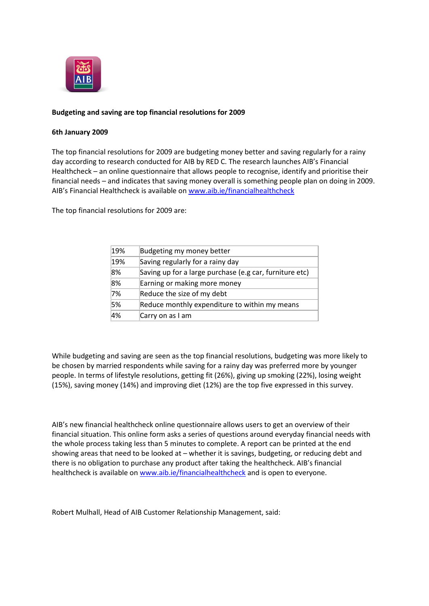

## **Budgeting and saving are top financial resolutions for 2009**

## **6th January 2009**

The top financial resolutions for 2009 are budgeting money better and saving regularly for a rainy day according to research conducted for AIB by RED C. The research launches AIB's Financial Healthcheck – an online questionnaire that allows people to recognise, identify and prioritise their financial needs – and indicates that saving money overall is something people plan on doing in 2009. AIB's Financial Healthcheck is available on [www.aib.ie/financialhealthcheck](http://www.aib.ie/financialhealthcheck)

The top financial resolutions for 2009 are:

| 19% | Budgeting my money better                               |
|-----|---------------------------------------------------------|
| 19% | Saving regularly for a rainy day                        |
| 8%  | Saving up for a large purchase (e.g car, furniture etc) |
| 8%  | Earning or making more money                            |
| 7%  | Reduce the size of my debt                              |
| 5%  | Reduce monthly expenditure to within my means           |
| 4%  | Carry on as I am                                        |

While budgeting and saving are seen as the top financial resolutions, budgeting was more likely to be chosen by married respondents while saving for a rainy day was preferred more by younger people. In terms of lifestyle resolutions, getting fit (26%), giving up smoking (22%), losing weight (15%), saving money (14%) and improving diet (12%) are the top five expressed in this survey.

AIB's new financial healthcheck online questionnaire allows users to get an overview of their financial situation. This online form asks a series of questions around everyday financial needs with the whole process taking less than 5 minutes to complete. A report can be printed at the end showing areas that need to be looked at – whether it is savings, budgeting, or reducing debt and there is no obligation to purchase any product after taking the healthcheck. AIB's financial healthcheck is available on [www.aib.ie/financialhealthcheck](http://www.aib.ie/financialhealthcheck) and is open to everyone.

Robert Mulhall, Head of AIB Customer Relationship Management, said: